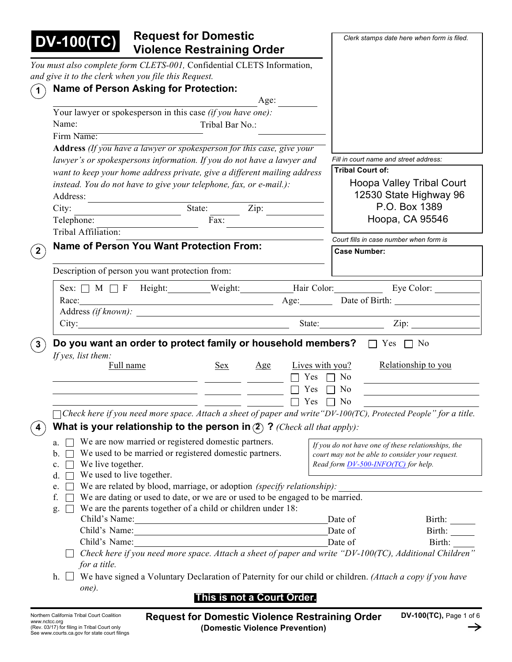| <b>Request for Domestic</b><br><b>DV-100(TC)</b><br><b>Violence Restraining Order</b> |                                                                                                                                                    |                                                                                                                     |                             | Clerk stamps date here when form is filed. |                                                                                                                         |  |
|---------------------------------------------------------------------------------------|----------------------------------------------------------------------------------------------------------------------------------------------------|---------------------------------------------------------------------------------------------------------------------|-----------------------------|--------------------------------------------|-------------------------------------------------------------------------------------------------------------------------|--|
| You must also complete form CLETS-001, Confidential CLETS Information,                |                                                                                                                                                    |                                                                                                                     |                             |                                            |                                                                                                                         |  |
| and give it to the clerk when you file this Request.                                  |                                                                                                                                                    |                                                                                                                     |                             |                                            |                                                                                                                         |  |
| Name of Person Asking for Protection:<br>$\mathbf{1}$                                 |                                                                                                                                                    |                                                                                                                     |                             |                                            |                                                                                                                         |  |
|                                                                                       |                                                                                                                                                    | Age:                                                                                                                |                             |                                            |                                                                                                                         |  |
|                                                                                       |                                                                                                                                                    | Your lawyer or spokesperson in this case (if you have one):                                                         |                             |                                            |                                                                                                                         |  |
| Name:                                                                                 |                                                                                                                                                    | Tribal Bar No.:                                                                                                     |                             |                                            |                                                                                                                         |  |
| Firm Name:                                                                            |                                                                                                                                                    |                                                                                                                     |                             |                                            |                                                                                                                         |  |
|                                                                                       |                                                                                                                                                    | Address (If you have a lawyer or spokesperson for this case, give your                                              |                             | Fill in court name and street address:     |                                                                                                                         |  |
|                                                                                       | lawyer's or spokespersons information. If you do not have a lawyer and<br>want to keep your home address private, give a different mailing address |                                                                                                                     |                             |                                            | <b>Tribal Court of:</b>                                                                                                 |  |
|                                                                                       |                                                                                                                                                    | instead. You do not have to give your telephone, fax, or e-mail.):                                                  |                             |                                            | <b>Hoopa Valley Tribal Court</b>                                                                                        |  |
| Address:                                                                              |                                                                                                                                                    |                                                                                                                     |                             |                                            | 12530 State Highway 96                                                                                                  |  |
| City:                                                                                 |                                                                                                                                                    | State:<br>Zip:                                                                                                      |                             |                                            | P.O. Box 1389                                                                                                           |  |
| Telephone:                                                                            |                                                                                                                                                    | Fax:                                                                                                                |                             |                                            | Hoopa, CA 95546                                                                                                         |  |
| Tribal Affiliation:                                                                   |                                                                                                                                                    |                                                                                                                     |                             |                                            |                                                                                                                         |  |
| <b>Name of Person You Want Protection From:</b>                                       |                                                                                                                                                    |                                                                                                                     |                             |                                            | Court fills in case number when form is                                                                                 |  |
| $\boxed{2}$                                                                           |                                                                                                                                                    |                                                                                                                     |                             | <b>Case Number:</b>                        |                                                                                                                         |  |
| Description of person you want protection from:                                       |                                                                                                                                                    |                                                                                                                     |                             |                                            |                                                                                                                         |  |
|                                                                                       |                                                                                                                                                    |                                                                                                                     |                             |                                            | Sex: M T F Height: Weight: Hair Color: Eye Color: Eye Color:                                                            |  |
| Race:                                                                                 |                                                                                                                                                    | Age: Date of Birth:                                                                                                 |                             |                                            |                                                                                                                         |  |
|                                                                                       |                                                                                                                                                    | Address (if known):                                                                                                 |                             |                                            |                                                                                                                         |  |
|                                                                                       |                                                                                                                                                    | City:                                                                                                               |                             |                                            | State: <u>Zip:</u>                                                                                                      |  |
| $\mathbf{3}$<br>If yes, list them:<br>Full name                                       |                                                                                                                                                    | Do you want an order to protect family or household members? $\Box$ Yes $\Box$ No<br>Sex<br>Age                     | Lives with you?             |                                            | Relationship to you                                                                                                     |  |
|                                                                                       |                                                                                                                                                    |                                                                                                                     | Yes                         | N <sub>0</sub>                             |                                                                                                                         |  |
|                                                                                       |                                                                                                                                                    |                                                                                                                     | Yes                         | No                                         |                                                                                                                         |  |
|                                                                                       |                                                                                                                                                    |                                                                                                                     | $\Box$ $\Box$ Yes $\Box$ No |                                            |                                                                                                                         |  |
|                                                                                       |                                                                                                                                                    |                                                                                                                     |                             |                                            | $\Box$ Check here if you need more space. Attach a sheet of paper and write "DV-100(TC), Protected People" for a title. |  |
| 4                                                                                     |                                                                                                                                                    | What is your relationship to the person in $(2)$ ? (Check all that apply):                                          |                             |                                            |                                                                                                                         |  |
| a.<br>b.<br>We live together.<br>$c$ .<br>We used to live together.<br>d.             |                                                                                                                                                    | We are now married or registered domestic partners.<br>We used to be married or registered domestic partners.       |                             | Read form DV-500-INFO(TC) for help.        | If you do not have one of these relationships, the<br>court may not be able to consider your request.                   |  |
| e.                                                                                    |                                                                                                                                                    | We are related by blood, marriage, or adoption (specify relationship):                                              |                             |                                            |                                                                                                                         |  |
| f.                                                                                    |                                                                                                                                                    | We are dating or used to date, or we are or used to be engaged to be married.                                       |                             |                                            |                                                                                                                         |  |
| g.                                                                                    |                                                                                                                                                    | We are the parents together of a child or children under 18:                                                        |                             |                                            |                                                                                                                         |  |
|                                                                                       |                                                                                                                                                    | Child's Name:                                                                                                       |                             | Date of                                    | Birth: $\qquad \qquad$                                                                                                  |  |
|                                                                                       |                                                                                                                                                    | Child's Name: 1988                                                                                                  |                             | Date of                                    | Birth:                                                                                                                  |  |
| Child's Name:                                                                         |                                                                                                                                                    | <u> 1989 - Johann Barbara, martxa alemaniar amerikan a</u>                                                          |                             | Date of                                    | Birth:                                                                                                                  |  |
|                                                                                       |                                                                                                                                                    |                                                                                                                     |                             |                                            | Check here if you need more space. Attach a sheet of paper and write "DV-100(TC), Additional Children"                  |  |
|                                                                                       |                                                                                                                                                    |                                                                                                                     |                             |                                            |                                                                                                                         |  |
| for a title.                                                                          |                                                                                                                                                    |                                                                                                                     |                             |                                            |                                                                                                                         |  |
| one).                                                                                 |                                                                                                                                                    | h. $\Box$ We have signed a Voluntary Declaration of Paternity for our child or children. (Attach a copy if you have |                             |                                            |                                                                                                                         |  |

# **This is not a Court Order.**

**Request for Domestic Violence Restraining Order (Domestic Violence Prevention)**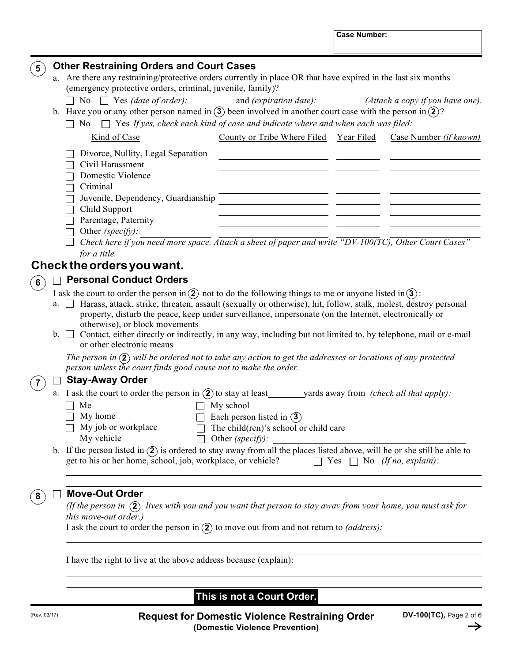**Case Number:**

| $5^{\circ}$    |    | <b>Other Restraining Orders and Court Cases</b>                                                                                                                                                                                                                                                                                                                                                                                  |  |  |  |  |  |  |
|----------------|----|----------------------------------------------------------------------------------------------------------------------------------------------------------------------------------------------------------------------------------------------------------------------------------------------------------------------------------------------------------------------------------------------------------------------------------|--|--|--|--|--|--|
|                |    | a. Are there any restraining/protective orders currently in place OR that have expired in the last six months                                                                                                                                                                                                                                                                                                                    |  |  |  |  |  |  |
|                |    | (emergency protective orders, criminal, juvenile, family)?                                                                                                                                                                                                                                                                                                                                                                       |  |  |  |  |  |  |
|                |    | $\Box$ No $\Box$ Yes (date of order):<br>and (expiration date):<br>(Attach a copy if you have one).                                                                                                                                                                                                                                                                                                                              |  |  |  |  |  |  |
|                |    | b. Have you or any other person named in $\ddot{\textbf{3}}$ been involved in another court case with the person in $\ddot{\textbf{2}}$ ?                                                                                                                                                                                                                                                                                        |  |  |  |  |  |  |
|                |    | $\Box$ No $\Box$ Yes If yes, check each kind of case and indicate where and when each was filed:                                                                                                                                                                                                                                                                                                                                 |  |  |  |  |  |  |
|                |    | County or Tribe Where Filed Year Filed<br>Kind of Case<br>Case Number (if known)                                                                                                                                                                                                                                                                                                                                                 |  |  |  |  |  |  |
|                |    | Divorce, Nullity, Legal Separation                                                                                                                                                                                                                                                                                                                                                                                               |  |  |  |  |  |  |
|                |    | Civil Harassment                                                                                                                                                                                                                                                                                                                                                                                                                 |  |  |  |  |  |  |
|                |    | Domestic Violence                                                                                                                                                                                                                                                                                                                                                                                                                |  |  |  |  |  |  |
|                |    | Criminal                                                                                                                                                                                                                                                                                                                                                                                                                         |  |  |  |  |  |  |
|                |    | Juvenile, Dependency, Guardianship                                                                                                                                                                                                                                                                                                                                                                                               |  |  |  |  |  |  |
|                |    | Child Support                                                                                                                                                                                                                                                                                                                                                                                                                    |  |  |  |  |  |  |
|                |    | Parentage, Paternity                                                                                                                                                                                                                                                                                                                                                                                                             |  |  |  |  |  |  |
|                |    | Other (specify):                                                                                                                                                                                                                                                                                                                                                                                                                 |  |  |  |  |  |  |
|                |    | Check here if you need more space. Attach a sheet of paper and write " $DV-100(TC)$ , Other Court Cases"                                                                                                                                                                                                                                                                                                                         |  |  |  |  |  |  |
|                |    | for a title.                                                                                                                                                                                                                                                                                                                                                                                                                     |  |  |  |  |  |  |
|                |    | Check the orders you want.                                                                                                                                                                                                                                                                                                                                                                                                       |  |  |  |  |  |  |
|                |    | <b>Personal Conduct Orders</b>                                                                                                                                                                                                                                                                                                                                                                                                   |  |  |  |  |  |  |
| $6 \right)$    |    | I ask the court to order the person in (2) not to do the following things to me or anyone listed in (3):                                                                                                                                                                                                                                                                                                                         |  |  |  |  |  |  |
|                | a. | Harass, attack, strike, threaten, assault (sexually or otherwise), hit, follow, stalk, molest, destroy personal<br>$\perp$<br>property, disturb the peace, keep under surveillance, impersonate (on the Internet, electronically or<br>otherwise), or block movements<br>$b.$ $\Box$ Contact, either directly or indirectly, in any way, including but not limited to, by telephone, mail or e-mail<br>or other electronic means |  |  |  |  |  |  |
|                |    | The person in $(2)$ will be ordered not to take any action to get the addresses or locations of any protected<br>person unless the court finds good cause not to make the order.                                                                                                                                                                                                                                                 |  |  |  |  |  |  |
| $\overline{7}$ |    | <b>Stay-Away Order</b>                                                                                                                                                                                                                                                                                                                                                                                                           |  |  |  |  |  |  |
|                |    | a. I ask the court to order the person in $(2)$ to stay at least yards away from <i>(check all that apply)</i> :                                                                                                                                                                                                                                                                                                                 |  |  |  |  |  |  |
|                |    | Me<br>My school                                                                                                                                                                                                                                                                                                                                                                                                                  |  |  |  |  |  |  |
|                |    | My home<br>Each person listed in $(3)$                                                                                                                                                                                                                                                                                                                                                                                           |  |  |  |  |  |  |
|                |    | My job or workplace<br>The child(ren)'s school or child care                                                                                                                                                                                                                                                                                                                                                                     |  |  |  |  |  |  |
|                |    | My vehicle<br>Other <i>(specify)</i> :<br>$\Box$                                                                                                                                                                                                                                                                                                                                                                                 |  |  |  |  |  |  |
|                |    | b. If the person listed in $(2)$ is ordered to stay away from all the places listed above, will he or she still be able to<br>get to his or her home, school, job, workplace, or vehicle?<br>$\Box$ Yes $\Box$ No (If no, explain):                                                                                                                                                                                              |  |  |  |  |  |  |
|                |    |                                                                                                                                                                                                                                                                                                                                                                                                                                  |  |  |  |  |  |  |
|                |    |                                                                                                                                                                                                                                                                                                                                                                                                                                  |  |  |  |  |  |  |
| 8              |    | <b>Move-Out Order</b>                                                                                                                                                                                                                                                                                                                                                                                                            |  |  |  |  |  |  |
|                |    | (If the person in $(2)$ lives with you and you want that person to stay away from your home, you must ask for                                                                                                                                                                                                                                                                                                                    |  |  |  |  |  |  |
|                |    | this move-out order.)                                                                                                                                                                                                                                                                                                                                                                                                            |  |  |  |  |  |  |
|                |    | I ask the court to order the person in $(2)$ to move out from and not return to <i>(address)</i> :                                                                                                                                                                                                                                                                                                                               |  |  |  |  |  |  |
|                |    |                                                                                                                                                                                                                                                                                                                                                                                                                                  |  |  |  |  |  |  |
|                |    | I have the right to live at the above address because (explain):                                                                                                                                                                                                                                                                                                                                                                 |  |  |  |  |  |  |
|                |    |                                                                                                                                                                                                                                                                                                                                                                                                                                  |  |  |  |  |  |  |

# **This is not a Court Order.**

 $\rightarrow$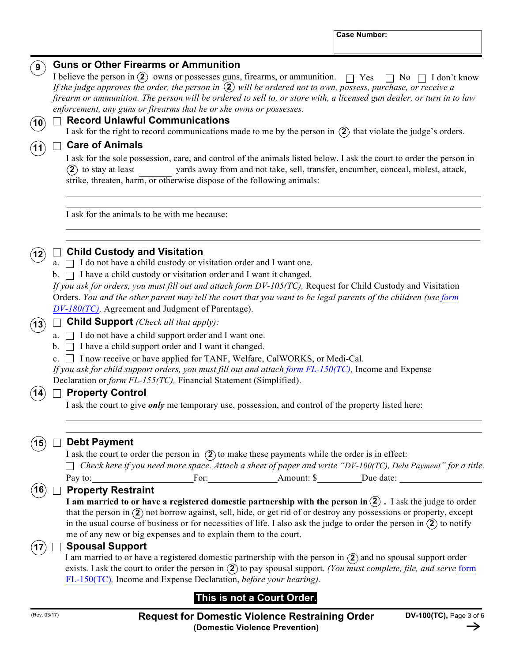### **Guns or Other Firearms or Ammunition 9**

I believe the person in  $\Omega$  owns or possesses guns, firearms, or ammunition.  $\Box$  Yes  $\Box$  No  $\Box$  I don't know *If the judge approves the order, the person in* (2) will be ordered not to own, possess, purchase, or receive a *firearm or ammunition. The person will be ordered to sell to, or store with, a licensed gun dealer, or turn in to law enforcement, any guns or firearms that he or she owns or possesses.*

### **Record Unlawful Communications 10**

I ask for the right to record communications made to me by the person in  $(2)$  that violate the judge's orders.

### **Care of Animals**

**2**) to stay at least I ask for the sole possession, care, and control of the animals listed below. I ask the court to order the person in yards away from and not take, sell, transfer, encumber, conceal, molest, attack, strike, threaten, harm, or otherwise dispose of the following animals:

I ask for the animals to be with me because:



**11**

# **Child Custody and Visitation**

a.  $\Box$  I do not have a child custody or visitation order and I want one.

 $\mathbf{b}$ .  $\Box$  I have a child custody or visitation order and I want it changed.

*If you ask for orders, you must fill out and attach form DV-105(TC),* Request for Child Custody and Visitation Orders. You and the other parent may tell the court that you want to be legal parents of the children (use form *DV-180(TC),* Agreement and Judgment of Parentage).

# $\widehat{A_3}$   $\Box$  **Child Support** *(Check all that apply)*:

a.  $\Box$  I do not have a child support order and I want one.

b.  $\Box$  I have a child support order and I want it changed.

c.  $\Box$  I now receive or have applied for TANF, Welfare, CalWORKS, or Medi-Cal.

*If you ask for child support orders, you must fill out and attach form FL-150(TC),* Income and Expense Declaration or *form FL-155(TC),* Financial Statement (Simplified).

# **14)** □ Property Control

I ask the court to give *only* me temporary use, possession, and control of the property listed here:

**15**

### **Debt Payment**

I ask the court to order the person in  $(2)$  to make these payments while the order is in effect:

| $\Box$ Check here if you need more space. Attach a sheet of paper and write "DV-100(TC), Debt Payment" for a title. |      |           |           |  |
|---------------------------------------------------------------------------------------------------------------------|------|-----------|-----------|--|
| Pay to:                                                                                                             | For: | Amount: S | Due date: |  |

#### **Property Restraint 16**

that the person in  $(2)$  not borrow against, sell, hide, or get rid of or destroy any possessions or property, except **I** am married to or have a registered domestic partnership with the person in  $(2)$  . I ask the judge to order in the usual course of business or for necessities of life. I also ask the judge to order the person in  $(2)$  to notify me of any new or big expenses and to explain them to the court.

### **Spousal Support**

I am married to or have a registered domestic partnership with the person in  $(2)$  and no spousal support order exists. I ask the court to order the person in (2) to pay spousal support. *(You must complete, file, and serve* form FL-150(TC)*,* Income and Expense Declaration, *before your hearing).*

# **This is not a Court Order.**

**17**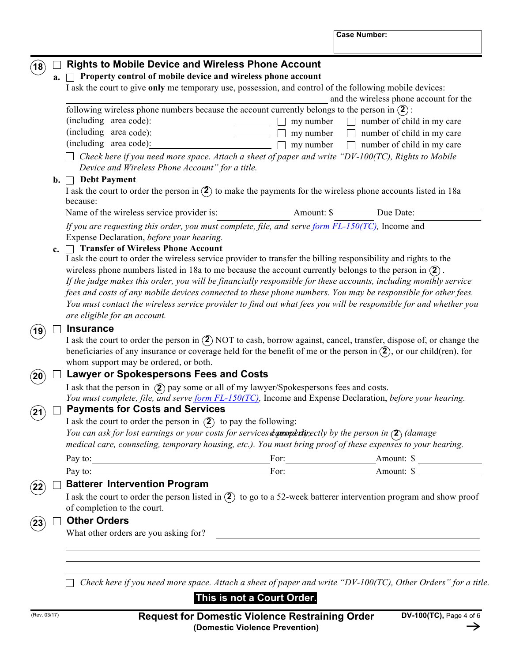**Case Number:**

### I ask the court to order the person listed in  $(2)$  to go to a 52-week batterer intervention program and show proof following wireless phone numbers because the account currently belongs to the person in  $(2)$ : **Rights to Mobile Device and Wireless Phone Account a. Property control of mobile device and wireless phone account** I ask the court to give **only** me temporary use, possession, and control of the following mobile devices: and the wireless phone account for the (including area code): (including area code): (including area code):  $\Box$  my number  $\Box$  number of child in my care  $\Box$  my number  $\Box$  number of child in my care  $\Box$  my number  $\Box$  number of child in my care  $\Box$  Check here if you need more space. Attach a sheet of paper and write "DV-100(TC), Rights to Mobile *Device and Wireless Phone Account" for a title.* **b. Debt Payment** I ask the court to order the person in  $(2)$  to make the payments for the wireless phone accounts listed in 18a because: Name of the wireless service provider is: Amount: \$ Due Date: *If you are requesting this order, you must complete, file, and serve form FL-150(TC),* Income and Expense Declaration, *before your hearing.* **c. Transfer of Wireless Phone Account** I ask the court to order the wireless service provider to transfer the billing responsibility and rights to the wireless phone numbers listed in 18a to me because the account currently belongs to the person in **2** . *If the judge makes this order, you will be financially responsible for these accounts, including monthly service fees and costs of any mobile devices connected to these phone numbers. You may be responsible for other fees.* You must contact the wireless service provider to find out what fees you will be responsible for and whether you *are eligible for an account.* **Insurance** I ask the court to order the person in **2** NOT to cash, borrow against, cancel, transfer, dispose of, or change the beneficiaries of any insurance or coverage held for the benefit of me or the person in  $(2)$ , or our child(ren), for whom support may be ordered, or both. **Lawyer or Spokespersons Fees and Costs** I ask that the person in  $(2)$  pay some or all of my lawyer/Spokespersons fees and costs. *You must complete, file, and serve form FL-150(TC),* Income and Expense Declaration, *before your hearing.* **Payments for Costs and Services** I ask the court to order the person in  $(2)$  to pay the following: You can ask for lost earnings or your costs for services **deprodutively** by the person in  $(2)$  (damage *medical care, counseling, temporary housing, etc.). You must bring proof of these expenses to your hearing.* Pay to: For: Amount: \$ Pay to: For: Amount: \$ **Batterer Intervention Program** of completion to the court. **Other Orders** What other orders are you asking for? **19 22 23 20 21 18**

 $\Box$  Check here if you need more space. Attach a sheet of paper and write "DV-100(TC), Other Orders" for a title.

# **This is not a Court Order.**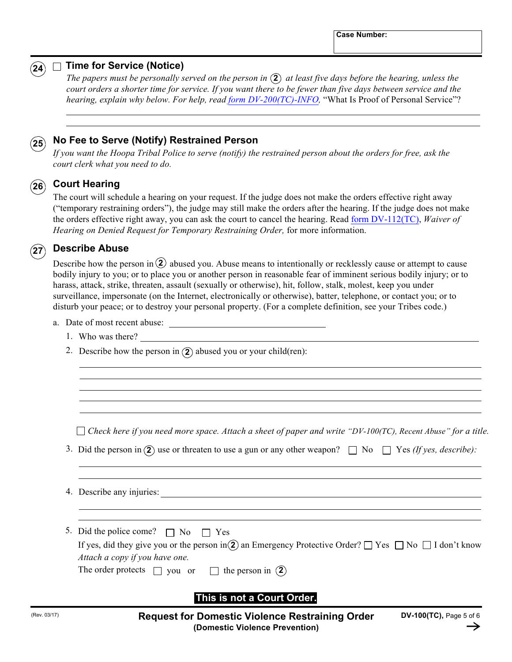

# $\widehat{ {{\bf 24}}}\rangle \ \Box\ \mathsf{Time}$  for Service (Notice)

The papers must be personally served on the person in  $(2)$  at least five days before the hearing, unless the *court orders a shorter time for service. If you want there to be fewer than five days between service and the hearing, explain why below. For help, read form DV-200(TC)-INFO,* "What Is Proof of Personal Service"?

#### **No Fee to Serve (Notify) Restrained Person 25**

*If you want the Hoopa Tribal Police to serve (notify) the restrained person about the orders for free, ask the court clerk what you need to do.*

# $\widehat{\mathbf{26}}$  Court Hearing

The court will schedule a hearing on your request. If the judge does not make the orders effective right away ("temporary restraining orders"), the judge may still make the orders after the hearing. If the judge does not make the orders effective right away, you can ask the court to cancel the hearing. Read form DV-112(TC), *Waiver of Hearing on Denied Request for Temporary Restraining Order,* for more information.

#### **Describe Abuse**  $\langle 27 \rangle$

Describe how the person in <sup>(2)</sup> abused you. Abuse means to intentionally or recklessly cause or attempt to cause bodily injury to you; or to place you or another person in reasonable fear of imminent serious bodily injury; or to harass, attack, strike, threaten, assault (sexually or otherwise), hit, follow, stalk, molest, keep you under surveillance, impersonate (on the Internet, electronically or otherwise), batter, telephone, or contact you; or to disturb your peace; or to destroy your personal property. (For a complete definition, see your Tribes code.)

- a. Date of most recent abuse:
	- 1. Who was there?
	- 2. Describe how the person in  $(2)$  abused you or your child(ren):

 $\Box$  Check here if you need more space. Attach a sheet of paper and write "DV-100(TC), Recent Abuse" for a title.

- 3. Did the person in  $(2)$  use or threaten to use a gun or any other weapon?  $\Box$  No  $\Box$  Yes *(If yes, describe)*:
- 4. Describe any injuries:

| 5. Did the police come? $\Box$ No $\Box$ Yes                                                                                |
|-----------------------------------------------------------------------------------------------------------------------------|
| If yes, did they give you or the person in $\Omega$ an Emergency Protective Order? $\Box$ Yes $\Box$ No $\Box$ I don't know |
| Attach a copy if you have one.                                                                                              |
| The order protects $\Box$ you or<br>the person in $(2)$                                                                     |

# **This is not a Court Order.**